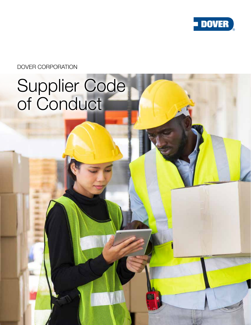

# DOVER CORPORATION

# Supplier Code of Conduct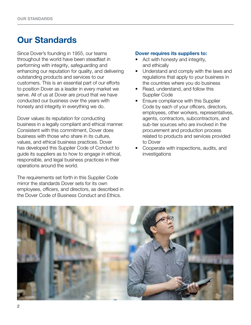# Our Standards

Since Dover's founding in 1955, our teams throughout the world have been steadfast in performing with integrity, safeguarding and enhancing our reputation for quality, and delivering outstanding products and services to our customers. This is an essential part of our efforts to position Dover as a leader in every market we serve. All of us at Dover are proud that we have conducted our business over the years with honesty and integrity in everything we do.

Dover values its reputation for conducting business in a legally compliant and ethical manner. Consistent with this commitment, Dover does business with those who share in its culture, values, and ethical business practices. Dover has developed this Supplier Code of Conduct to guide its suppliers as to how to engage in ethical, responsible, and legal business practices in their operations around the world.

The requirements set forth in this Supplier Code mirror the standards Dover sets for its own employees, officers, and directors, as described in the Dover Code of Business Conduct and Ethics.

# Dover requires its suppliers to:

- Act with honesty and integrity, and ethically
- Understand and comply with the laws and regulations that apply to your business in the countries where you do business
- Read, understand, and follow this Supplier Code
- Ensure compliance with this Supplier Code by each of your officers, directors, employees, other workers, representatives, agents, contractors, subcontractors, and sub-tier sources who are involved in the procurement and production process related to products and services provided to Dover
- Cooperate with inspections, audits, and investigations

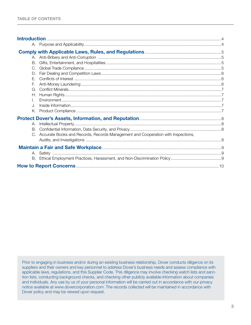|  | B.                        |                                                                                     |  |
|--|---------------------------|-------------------------------------------------------------------------------------|--|
|  | C.                        |                                                                                     |  |
|  | D.                        |                                                                                     |  |
|  | F.                        |                                                                                     |  |
|  | E.                        |                                                                                     |  |
|  | G.                        |                                                                                     |  |
|  | $H_{\cdot}$               |                                                                                     |  |
|  | L.                        |                                                                                     |  |
|  | $\mathbf{J}_{\mathbf{r}}$ |                                                                                     |  |
|  | Κ.                        |                                                                                     |  |
|  |                           |                                                                                     |  |
|  | А.                        |                                                                                     |  |
|  | В.                        |                                                                                     |  |
|  |                           | C. Accurate Books and Records, Records Management and Cooperation with Inspections, |  |
|  |                           |                                                                                     |  |
|  |                           |                                                                                     |  |
|  |                           |                                                                                     |  |
|  | B.                        |                                                                                     |  |
|  |                           |                                                                                     |  |

Prior to engaging in business and/or during an existing business relationship, Dover conducts diligence on its suppliers and their owners and key personnel to address Dover's business needs and assess compliance with applicable laws, regulations, and this Supplier Code. This diligence may involve checking watch lists and sanction lists, conducting background checks, and checking other publicly available information about companies and individuals. Any use by us of your personal information will be carried out in accordance with our privacy notice available at www.dovercorporation.com. The records collected will be maintained in accordance with Dover policy and may be viewed upon request.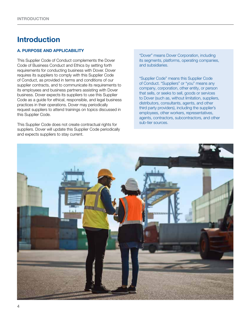# Introduction

## A. PURPOSE AND APPLICABILITY

This Supplier Code of Conduct complements the Dover Code of Business Conduct and Ethics by setting forth requirements for conducting business with Dover. Dover requires its suppliers to comply with this Supplier Code of Conduct, as provided in terms and conditions of our supplier contracts, and to communicate its requirements to its employees and business partners assisting with Dover business. Dover expects its suppliers to use this Supplier Code as a guide for ethical, responsible, and legal business practices in their operations. Dover may periodically request suppliers to attend trainings on topics discussed in this Supplier Code.

This Supplier Code does not create contractual rights for suppliers. Dover will update this Supplier Code periodically and expects suppliers to stay current.

"Dover" means Dover Corporation, including its segments, platforms, operating companies, and subsidiaries.

"Supplier Code" means this Supplier Code of Conduct. "Suppliers" or "you" means any company, corporation, other entity, or person that sells, or seeks to sell, goods or services to Dover (such as, without limitation, suppliers, distributors, consultants, agents, and other third party providers), including the supplier's employees, other workers, representatives, agents, contractors, subcontractors, and other sub-tier sources.

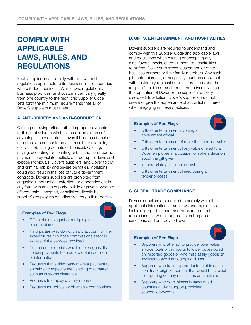# COMPLY WITH APPLICABLE LAWS, RULES, AND REGULATIONS

Each supplier must comply with all laws and regulations applicable to its business in the countries where it does business. While laws, regulations, business practices, and customs can vary greatly from one country to the next, this Supplier Code sets forth the minimum requirements that all of Dover's suppliers must meet.

## A. ANTI-BRIBERY AND ANTI-CORRUPTION

Offering or paying bribes, other improper payments, or things of value to win business or obtain an unfair advantage is unacceptable, even if business is lost or difficulties are encountered as a result (for example, delays in obtaining permits or licenses). Offering, paying, accepting, or soliciting bribes and other corrupt payments may violate multiple anti-corruption laws and expose individuals, Dover's suppliers, and Dover to civil and criminal liability and severe penalties. Violations could also result in the loss of future government contracts. Dover's suppliers are prohibited from engaging in corruption, extortion, or embezzlement in any form with any third party, public or private, whether offered, paid, accepted, or solicited directly by a supplier's employees or indirectly through third parties.

#### Examples of Red Flags



- Offers of extravagant or multiple gifts or entertainment
- Third parties who do not clearly account for their expenditures or whose commissions seem in excess of the services provided
- Customers or officials who hint or suggest that certain payments be made to obtain business or information
- Requests that a third party make a payment to an official to expedite the handling of a matter such as customs clearance
- Requests to employ a family member
- Requests for political or charitable contributions

## B. GIFTS, ENTERTAINMENT, AND HOSPITALITIES

Dover's suppliers are required to understand and comply with this Supplier Code and applicable laws and regulations when offering or accepting any gifts, favors, meals, entertainment, or hospitalities to or from Dover employees, customers, or other business partners or their family members. Any such gift, entertainment, or hospitality must be consistent with customary regional business practices and the recipient's policies—and it must not adversely affect the reputation of Dover or the supplier if publicly disclosed. In addition, Dover's suppliers must not create or give the appearance of a conflict of interest when engaging in these practices.

## Examples of Red Flags



- Gifts or entertainment involving a government official
- Gifts or entertainment of more than nominal value
- Gifts or entertainment of any value offered to a Dover employee in a position to make a decision about the gift giver
- Inappropriate gifts such as cash
- Gifts or entertainment offered during a tender process

#### C. GLOBAL TRADE COMPLIANCE

Dover's suppliers are required to comply with all applicable international trade laws and regulations, including import, export, and re-export control regulations, as well as applicable embargoes, sanctions, and anti-boycott laws.

#### Examples of Red Flags



- Suppliers who attempt to provide lower value invoice totals with imports to lower duties owed on imported goods or who misclassify goods on invoices to avoid antidumping duties
- Suppliers who transship products to hide actual country of origin or content that would be subject to importing country restrictions or sanctions
- Suppliers who do business in sanctioned countries and/or support prohibited economic boycotts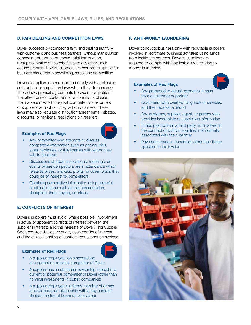## D. FAIR DEALING AND COMPETITION LAWS

Dover succeeds by competing fairly and dealing truthfully with customers and business partners, without manipulation, concealment, abuse of confidential information, misrepresentation of material facts, or any other unfair dealing practice. Dover's suppliers are required to uphold fair business standards in advertising, sales, and competition.

Dover's suppliers are required to comply with applicable antitrust and competition laws where they do business. These laws prohibit agreements between competitors that affect prices, costs, terms or conditions of sale, the markets in which they will compete, or customers or suppliers with whom they will do business. These laws may also regulate distribution agreements, rebates, discounts, or territorial restrictions on resellers.

#### Examples of Red Flags



- Any competitor who attempts to discuss competitive information such as pricing, bids, sales, territories, or third parties with whom they will do business
- Discussions at trade associations, meetings, or events where competitors are in attendance which relate to prices, markets, profits, or other topics that could be of interest to competitors
- Obtaining competitive information using unlawful or ethical means such as misrepresentation, deception, theft, spying, or bribery

## E. CONFLICTS OF INTEREST

Dover's suppliers must avoid, where possible, involvement in actual or apparent conflicts of interest between the supplier's interests and the interests of Dover. This Supplier Code requires disclosure of any such conflict of interest and the ethical handling of conflicts that cannot be avoided.

#### Examples of Red Flags



- A supplier employee has a second job at a current or potential competitor of Dover
- A supplier has a substantial ownership interest in a current or potential competitor of Dover (other than nominal investments in public companies)
- A supplier employee is a family member of or has a close personal relationship with a key contact/ decision maker at Dover (or vice versa)

#### F. ANTI-MONEY LAUNDERING

Dover conducts business only with reputable suppliers involved in legitimate business activities using funds from legitimate sources. Dover's suppliers are required to comply with applicable laws relating to money laundering.

#### Examples of Red Flags



- Customers who overpay for goods or services, and then request a refund
- Any customer, supplier, agent, or partner who provides incomplete or suspicious information
- Funds paid to/from a third party not involved in the contract or to/from countries not normally associated with the customer
- Payments made in currencies other than those specified in the invoice

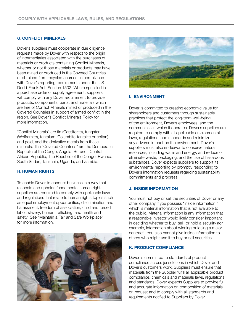## G. CONFLICT MINERALS

Dover's suppliers must cooperate in due diligence requests made by Dover with respect to the origin of intermediaries associated with the purchases of materials or products containing Conflict Minerals, whether or not those materials or products may have been mined or produced in the Covered Countries or obtained from recycled sources, in compliance with Dover's reporting requirements under the US Dodd-Frank Act, Section 1502. Where specified in a purchase order or supply agreement, suppliers will comply with any Dover requirement to provide products, components, parts, and materials which are free of Conflict Minerals mined or produced in the Covered Countries in support of armed conflict in the region. See Dover's Conflict Minerals Policy for more information.

"Conflict Minerals" are tin (Cassiterite), tungsten (Wolframite), tantalum (Columbite-tantalite or coltan), and gold, and the derivative metals from these minerals. The "Covered Countries" are the Democratic Republic of the Congo, Angola, Burundi, Central African Republic, The Republic of the Congo, Rwanda, South Sudan, Tanzania, Uganda, and Zambia.

## H. HUMAN RIGHTS

To enable Dover to conduct business in a way that respects and upholds fundamental human rights, suppliers are required to comply with applicable laws and regulations that relate to human rights topics such as equal employment opportunities, discrimination and harassment, freedom of association, child and forced labor, slavery, human trafficking, and health and safety. See "Maintain a Fair and Safe Workplace" for more information.





## I. ENVIRONMENT

Dover is committed to creating economic value for shareholders and customers through sustainable practices that protect the long-term well-being of the environment, Dover's employees, and the communities in which it operates. Dover's suppliers are required to comply with all applicable environmental laws, regulations, and standards and minimize any adverse impact on the environment. Dover's suppliers must also endeavor to conserve natural resources, including water and energy, and reduce or eliminate waste, packaging, and the use of hazardous substances. Dover expects suppliers to support its environmental reporting by promptly responding to Dover's information requests regarding sustainability commitments and progress.

#### J. INSIDE INFORMATION

You must not buy or sell the securities of Dover or any other company if you possess "inside information," which is material information that is not available to the public. Material information is any information that a reasonable investor would likely consider important in deciding whether to buy, sell, or hold a security (for example, information about winning or losing a major contract). You also cannot give inside information to others who might use it to buy or sell securities.

#### K. PRODUCT COMPLIANCE

Dover is committed to standards of product compliance across jurisdictions in which Dover and Dover's customers work. Suppliers must ensure that materials from the Supplier fulfill all applicable product compliance, chemicals and materials laws, regulations and standards, Dover expects Suppliers to provide full and accurate information on composition of materials on request and to comply with all standards and requirements notified to Suppliers by Dover.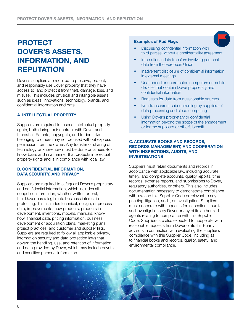# PROTECT DOVER'S ASSETS, INFORMATION, AND **REPUTATION**

Dover's suppliers are required to preserve, protect, and responsibly use Dover property that they have access to, and protect it from theft, damage, loss, and misuse. This includes physical and intangible assets such as ideas, innovations, technology, brands, and confidential information and data.

# A. INTELLECTUAL PROPERTY

Suppliers are required to respect intellectual property rights, both during their contract with Dover and thereafter. Patents, copyrights, and trademarks belonging to others may not be used without express permission from the owner. Any transfer or sharing of technology or know-how must be done on a need-toknow basis and in a manner that protects intellectual property rights and is in compliance with local law.

## B. CONFIDENTIAL INFORMATION, DATA SECURITY, AND PRIVACY

Suppliers are required to safeguard Dover's proprietary and confidential information, which includes all nonpublic information, whether written or oral, that Dover has a legitimate business interest in protecting. This includes technical, design, or process data, improvements, new products, products in development, inventions, models, manuals, knowhow, financial data, pricing information, business development or acquisition plans, marketing plans, project practices, and customer and supplier lists. Suppliers are required to follow all applicable privacy, information security and data protection laws that govern the handling, use, and retention of information and data provided by Dover, which may include private and sensitive personal information.

## Examples of Red Flags

- Discussing confidential information with third parties without a confidentiality agreement
- International data transfers involving personal data from the European Union
- Inadvertent disclosure of confidential information in external meetings
- Unattended or unprotected computers or mobile devices that contain Dover proprietary and confidential information
- Requests for data from questionable sources
- Non-transparent subcontracting by suppliers of data processing and cloud computing
- **Using Dover's proprietary or confidential** information beyond the scope of the engagement or for the supplier's or other's benefit

#### C. ACCURATE BOOKS AND RECORDS, RECORDS MANAGEMENT, AND COOPERATION WITH INSPECTIONS, AUDITS, AND INVESTIGATIONS

Suppliers must retain documents and records in accordance with applicable law, including accurate, timely, and complete accounts, quality reports, time records, expense reports, and submissions to Dover, regulatory authorities, or others. This also includes documentation necessary to demonstrate compliance with law and this Supplier Code or relevant to any pending litigation, audit, or investigation. Suppliers must cooperate with requests for inspections, audits, and investigations by Dover or any of its authorized agents relating to compliance with this Supplier Code. Suppliers are also expected to cooperate with reasonable requests from Dover or its third-party advisors in connection with evaluating the supplier's compliance with this Supplier Code, including as to financial books and records, quality, safety, and environmental compliance.

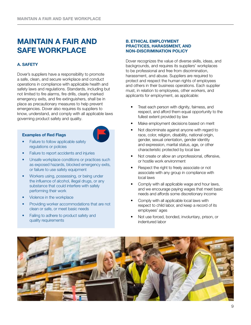# MAINTAIN A FAIR AND SAFE WORKPLACE

# A. SAFETY

Dover's suppliers have a responsibility to promote a safe, clean, and secure workplace and conduct operations in compliance with applicable health and safety laws and regulations. Standards, including but not limited to fire alarms, fire drills, clearly marked emergency exits, and fire extinguishers, shall be in place as precautionary measures to help prevent emergencies. Dover also requires its suppliers to know, understand, and comply with all applicable laws governing product safety and quality.

#### Examples of Red Flags



- Failure to follow applicable safety regulations or policies
- Failure to report accidents and injuries
- Unsafe workplace conditions or practices such as exposed hazards, blocked emergency exits, or failure to use safety equipment
- Workers using, possessing, or being under the influence of alcohol, illegal drugs, or any substance that could interfere with safely performing their work
- Violence in the workplace
- Providing worker accommodations that are not clean or safe, or meet basic needs
- Failing to adhere to product safety and quality requirements

#### B. ETHICAL EMPLOYMENT PRACTICES, HARASSMENT, AND NON-DISCRIMINATION POLICY

Dover recognizes the value of diverse skills, ideas, and backgrounds, and requires its suppliers' workplaces to be professional and free from discrimination, harassment, and abuse. Suppliers are required to protect and respect the human rights of employees and others in their business operations. Each supplier must, in relation to employees, other workers, and applicants for employment, as applicable:

- Treat each person with dignity, fairness, and respect, and afford them equal opportunity to the fullest extent provided by law
- Make employment decisions based on merit
- Not discriminate against anyone with regard to race, color, religion, disability, national origin, gender, sexual orientation, gender identity and expression, marital status, age, or other characteristic protected by local law
- Not create or allow an unprofessional, offensive, or hostile work environment
- Respect the right to freely associate or not associate with any group in compliance with local laws
- Comply with all applicable wage and hour laws, and we encourage paying wages that meet basic needs and affords some discretionary income
- Comply with all applicable local laws with respect to child labor, and keep a record of its employees' ages
- Not use forced, bonded, involuntary, prison, or indentured labor

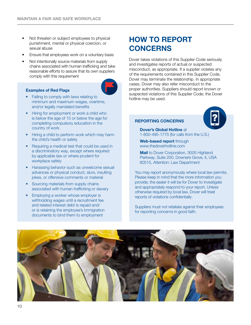- Not threaten or subject employees to physical punishment, mental or physical coercion, or sexual abuse
- Ensure that employees work on a voluntary basis
- Not intentionally source materials from supply chains associated with human trafficking and take reasonable efforts to assure that its own suppliers comply with this requirement

## Examples of Red Flags



- Failing to comply with laws relating to minimum and maximum wages, overtime, and/or legally mandated benefits
- Hiring for employment or work a child who is below the age of 15 or below the age for completing compulsory education in the country of work
- Hiring a child to perform work which may harm the child's health or safety
- Requiring a medical test that could be used in a discriminatory way, except where required by applicable law or where prudent for workplace safety
- Harassing behavior such as unwelcome sexual advances or physical conduct, slurs, insulting jokes, or offensive comments or material
- Sourcing materials from supply chains associated with human trafficking or slavery
- Employing a worker whose employer is withholding wages until a recruitment fee and related interest debt is repaid and/ or is retaining the employee's immigration documents to bind them to employment

# HOW TO REPORT **CONCERNS**

Dover takes violations of this Supplier Code seriously and investigates reports of actual or suspected misconduct, as appropriate. If a supplier violates any of the requirements contained in this Supplier Code, Dover may terminate the relationship. In appropriate cases, Dover may also refer misconduct to the proper authorities. Suppliers should report known or suspected violations of this Supplier Code; the Dover hotline may be used.

## REPORTING CONCERNS



Dover's Global Hotline at 1-800-495-1775 (for calls from the U.S.)

Web-based report through www.thedoverhotline.com

**Mail** to Dover Corporation, 3005 Highland Parkway, Suite 200, Downers Grove, IL USA 60515, Attention: Law Department

You may report anonymously where local law permits. Please keep in mind that the more information you provide, the easier it will be for Dover to investigate and appropriately respond to your report. Unless otherwise required by local law, Dover will treat reports of violations confidentially.

Suppliers must not retaliate against their employees for reporting concerns in good faith.